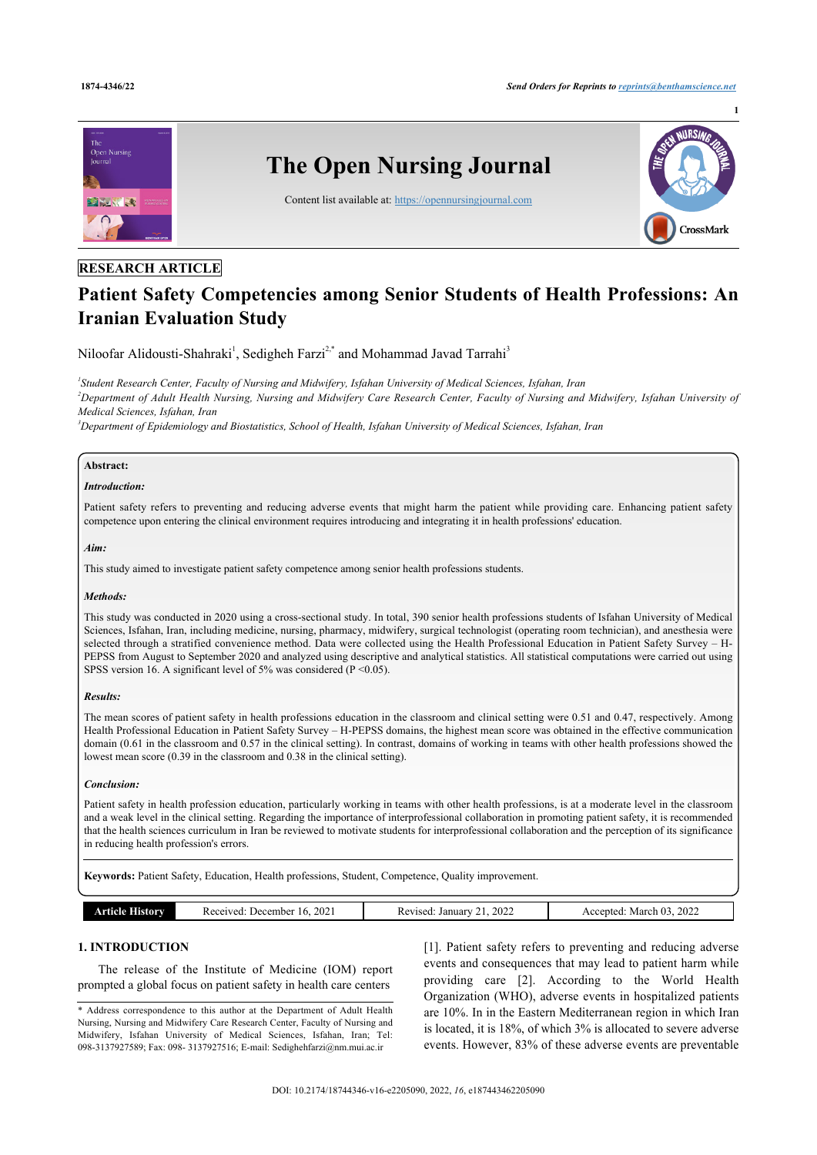**1**



# **RESEARCH ARTICLE**

# **Patient Safety Competencies among Senior Students of Health Professions: An Iranian Evaluation Study**

Niloofar Alidousti-Shahraki<sup>[1](#page--1-0)</sup>, Sedigheh Farzi<sup>[2,\\*](#page--1-0)</sup> and Mohammad Javad Tarrahi<sup>[3](#page--1-0)</sup>

*1 Student Research Center, Faculty of Nursing and Midwifery, Isfahan University of Medical Sciences, Isfahan, Iran <sup>2</sup>Department of Adult Health Nursing, Nursing and Midwifery Care Research Center, Faculty of Nursing and Midwifery, Isfahan University of Medical Sciences, Isfahan, Iran*

*<sup>3</sup>Department of Epidemiology and Biostatistics, School of Health, Isfahan University of Medical Sciences, Isfahan, Iran*

#### **Abstract:**

# *Introduction:*

Patient safety refers to preventing and reducing adverse events that might harm the patient while providing care. Enhancing patient safety competence upon entering the clinical environment requires introducing and integrating it in health professions' education.

#### *Aim:*

This study aimed to investigate patient safety competence among senior health professions students.

#### *Methods:*

This study was conducted in 2020 using a cross-sectional study. In total, 390 senior health professions students of Isfahan University of Medical Sciences, Isfahan, Iran, including medicine, nursing, pharmacy, midwifery, surgical technologist (operating room technician), and anesthesia were selected through a stratified convenience method. Data were collected using the Health Professional Education in Patient Safety Survey – H-PEPSS from August to September 2020 and analyzed using descriptive and analytical statistics. All statistical computations were carried out using SPSS version 16. A significant level of 5% was considered ( $P \le 0.05$ ).

#### *Results:*

The mean scores of patient safety in health professions education in the classroom and clinical setting were 0.51 and 0.47, respectively. Among Health Professional Education in Patient Safety Survey – H-PEPSS domains, the highest mean score was obtained in the effective communication domain (0.61 in the classroom and 0.57 in the clinical setting). In contrast, domains of working in teams with other health professions showed the lowest mean score (0.39 in the classroom and 0.38 in the clinical setting).

#### *Conclusion:*

Patient safety in health profession education, particularly working in teams with other health professions, is at a moderate level in the classroom and a weak level in the clinical setting. Regarding the importance of interprofessional collaboration in promoting patient safety, it is recommended that the health sciences curriculum in Iran be reviewed to motivate students for interprofessional collaboration and the perception of its significance in reducing health profession's errors.

**Keywords:** Patient Safety, Education, Health professions, Student, Competence, Quality improvement.

| March<br>December<br>cente <sub>u</sub><br>Received:<br>January 1<br>History<br>Revised<br>2022<br>۱h<br>rneie<br>A(3)<br>$\mathbf{U}$ |  | 2021 | $\sim$ | 2022<br>$\sim$ |
|----------------------------------------------------------------------------------------------------------------------------------------|--|------|--------|----------------|
|----------------------------------------------------------------------------------------------------------------------------------------|--|------|--------|----------------|

# **1. INTRODUCTION**

The release of the Institute of Medicine (IOM) report prompted a global focus on patient safety in health care centers

[[1\]](#page--1-0). Patient safety refers to preventing and reducing adverse events and consequences that may lead to patient harm while providing care [\[2](#page--1-0)]. According to the World Health Organization (WHO), adverse events in hospitalized patients are 10%. In in the Eastern Mediterranean region in which Iran is located, it is 18%, of which 3% is allocated to severe adverse events. However, 83% of these adverse events are preventable

<sup>\*</sup> Address correspondence to this author at the Department of Adult Health Nursing, Nursing and Midwifery Care Research Center, Faculty of Nursing and Midwifery, Isfahan University of Medical Sciences, Isfahan, Iran; Tel: 098-3137927589; Fax: 098- 3137927516; E-mail: [Sedighehfarzi@nm.mui.ac.ir](mailto:Sedighehfarzi@nm.mui.ac.ir)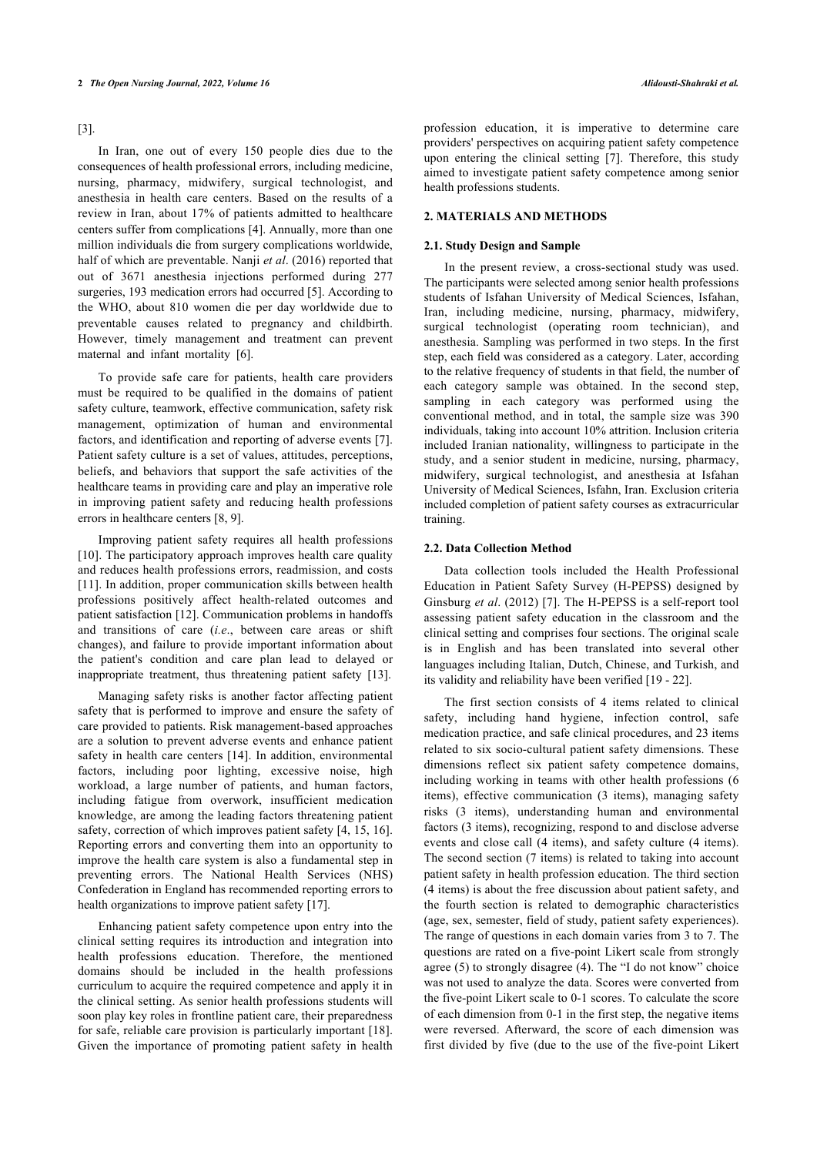#### [[3](#page--1-0)].

In Iran, one out of every 150 people dies due to the consequences of health professional errors, including medicine, nursing, pharmacy, midwifery, surgical technologist, and anesthesia in health care centers. Based on the results of a review in Iran, about 17% of patients admitted to healthcare centers suffer from complications [\[4\]](#page--1-0). Annually, more than one million individuals die from surgery complications worldwide, half of which are preventable. Nanji *et al*. (2016) reported that out of 3671 anesthesia injections performed during 277 surgeries, 193 medication errors had occurred [[5\]](#page--1-0). According to the WHO, about 810 women die per day worldwide due to preventable causes related to pregnancy and childbirth. However, timely management and treatment can prevent maternal and infant mortality [\[6\]](#page--1-0).

To provide safe care for patients, health care providers must be required to be qualified in the domains of patient safety culture, teamwork, effective communication, safety risk management, optimization of human and environmental factors, and identification and reporting of adverse events [\[7\]](#page--1-0). Patient safety culture is a set of values, attitudes, perceptions, beliefs, and behaviors that support the safe activities of the healthcare teams in providing care and play an imperative role in improving patient safety and reducing health professions errors in healthcare centers [\[8, 9\]](#page--1-0).

Improving patient safety requires all health professions [[10\]](#page--1-0). The participatory approach improves health care quality and reduces health professions errors, readmission, and costs [[11\]](#page--1-0). In addition, proper communication skills between health professions positively affect health-related outcomes and patient satisfaction [[12\]](#page--1-0). Communication problems in handoffs and transitions of care (*i.e*., between care areas or shift changes), and failure to provide important information about the patient's condition and care plan lead to delayed or inappropriate treatment, thus threatening patient safety[[13\]](#page--1-0).

Managing safety risks is another factor affecting patient safety that is performed to improve and ensure the safety of care provided to patients. Risk management-based approaches are a solution to prevent adverse events and enhance patient safety in health care centers [[14\]](#page--1-0). In addition, environmental factors, including poor lighting, excessive noise, high workload, a large number of patients, and human factors, including fatigue from overwork, insufficient medication knowledge, are among the leading factors threatening patient safety, correction of which improves patient safety [[4](#page--1-0), [15](#page--1-0), [16](#page--1-0)]. Reporting errors and converting them into an opportunity to improve the health care system is also a fundamental step in preventing errors. The National Health Services (NHS) Confederation in England has recommended reporting errors to health organizations to improve patient safety [[17\]](#page--1-0).

Enhancing patient safety competence upon entry into the clinical setting requires its introduction and integration into health professions education. Therefore, the mentioned domains should be included in the health professions curriculum to acquire the required competence and apply it in the clinical setting. As senior health professions students will soon play key roles in frontline patient care, their preparedness for safe, reliable care provision is particularly important [[18\]](#page--1-0). Given the importance of promoting patient safety in health

profession education, it is imperative to determine care providers' perspectives on acquiring patient safety competence upon entering the clinical setting [\[7\]](#page--1-0). Therefore, this study aimed to investigate patient safety competence among senior health professions students.

# **2. MATERIALS AND METHODS**

#### **2.1. Study Design and Sample**

In the present review, a cross-sectional study was used. The participants were selected among senior health professions students of Isfahan University of Medical Sciences, Isfahan, Iran, including medicine, nursing, pharmacy, midwifery, surgical technologist (operating room technician), and anesthesia. Sampling was performed in two steps. In the first step, each field was considered as a category. Later, according to the relative frequency of students in that field, the number of each category sample was obtained. In the second step, sampling in each category was performed using the conventional method, and in total, the sample size was 390 individuals, taking into account 10% attrition. Inclusion criteria included Iranian nationality, willingness to participate in the study, and a senior student in medicine, nursing, pharmacy, midwifery, surgical technologist, and anesthesia at Isfahan University of Medical Sciences, Isfahn, Iran. Exclusion criteria included completion of patient safety courses as extracurricular training.

# **2.2. Data Collection Method**

Data collection tools included the Health Professional Education in Patient Safety Survey (H-PEPSS) designed by Ginsburg *et al*. (2012) [\[7](#page--1-0)]. The H-PEPSS is a self-report tool assessing patient safety education in the classroom and the clinical setting and comprises four sections. The original scale is in English and has been translated into several other languages including Italian, Dutch, Chinese, and Turkish, and its validity and reliability have been verified [[19](#page--1-0) - [22](#page--1-0)].

The first section consists of 4 items related to clinical safety, including hand hygiene, infection control, safe medication practice, and safe clinical procedures, and 23 items related to six socio-cultural patient safety dimensions. These dimensions reflect six patient safety competence domains, including working in teams with other health professions (6 items), effective communication (3 items), managing safety risks (3 items), understanding human and environmental factors (3 items), recognizing, respond to and disclose adverse events and close call (4 items), and safety culture (4 items). The second section (7 items) is related to taking into account patient safety in health profession education. The third section (4 items) is about the free discussion about patient safety, and the fourth section is related to demographic characteristics (age, sex, semester, field of study, patient safety experiences). The range of questions in each domain varies from 3 to 7. The questions are rated on a five-point Likert scale from strongly agree (5) to strongly disagree (4). The "I do not know" choice was not used to analyze the data. Scores were converted from the five-point Likert scale to 0-1 scores. To calculate the score of each dimension from 0-1 in the first step, the negative items were reversed. Afterward, the score of each dimension was first divided by five (due to the use of the five-point Likert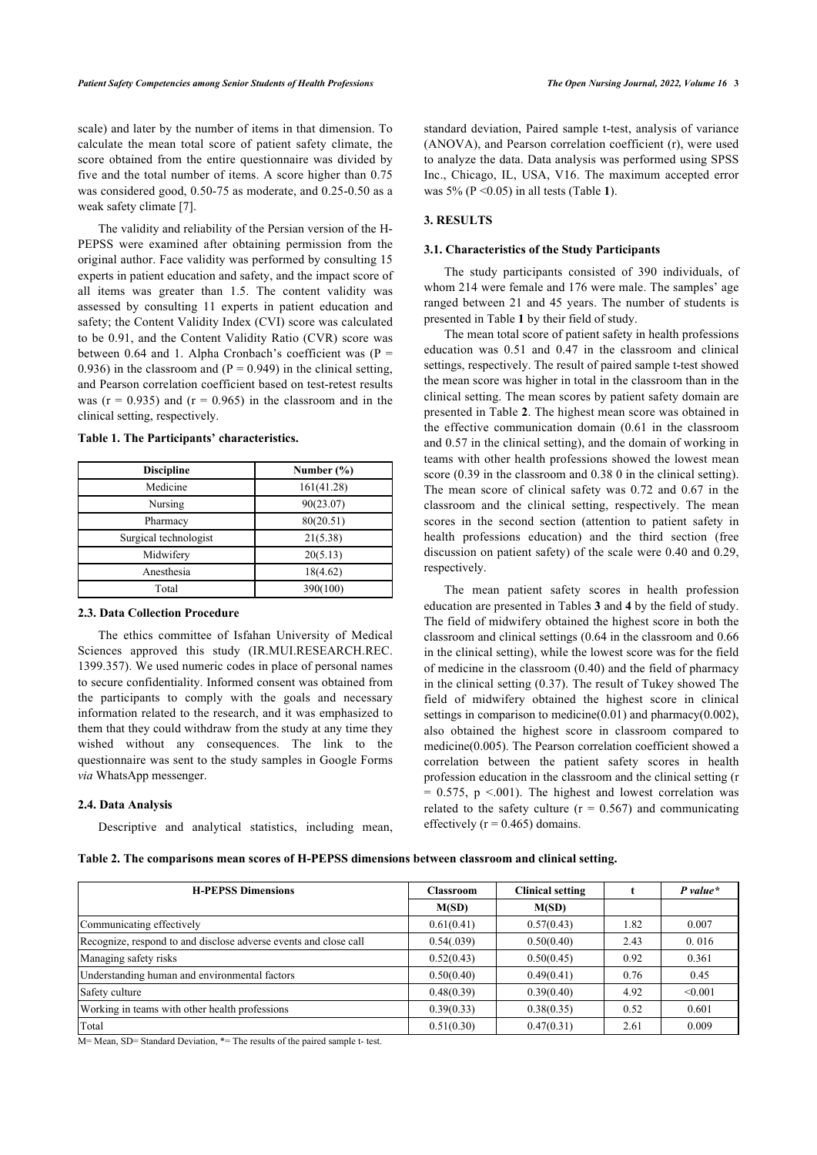scale) and later by the number of items in that dimension. To calculate the mean total score of patient safety climate, the score obtained from the entire questionnaire was divided by five and the total number of items. A score higher than 0.75 was considered good, 0.50-75 as moderate, and 0.25-0.50 as a weak safety climate [\[7\]](#page--1-0).

The validity and reliability of the Persian version of the H-PEPSS were examined after obtaining permission from the original author. Face validity was performed by consulting 15 experts in patient education and safety, and the impact score of all items was greater than 1.5. The content validity was assessed by consulting 11 experts in patient education and safety; the Content Validity Index (CVI) score was calculated to be 0.91, and the Content Validity Ratio (CVR) score was between 0.64 and 1. Alpha Cronbach's coefficient was  $(P =$ 0.936) in the classroom and  $(P = 0.949)$  in the clinical setting, and Pearson correlation coefficient based on test-retest results was ( $r = 0.935$ ) and ( $r = 0.965$ ) in the classroom and in the clinical setting, respectively.

**Table 1. The Participants' characteristics.**

| <b>Discipline</b>     | Number $(\% )$ |
|-----------------------|----------------|
| Medicine              | 161(41.28)     |
| Nursing               | 90(23.07)      |
| Pharmacy              | 80(20.51)      |
| Surgical technologist | 21(5.38)       |
| Midwifery             | 20(5.13)       |
| Anesthesia            | 18(4.62)       |
| Total                 | 390(100)       |

#### **2.3. Data Collection Procedure**

The ethics committee of Isfahan University of Medical Sciences approved this study (IR.MUI.RESEARCH.REC. 1399.357). We used numeric codes in place of personal names to secure confidentiality. Informed consent was obtained from the participants to comply with the goals and necessary information related to the research, and it was emphasized to them that they could withdraw from the study at any time they wished without any consequences. The link to the questionnaire was sent to the study samples in Google Forms *via* WhatsApp messenger.

### **2.4. Data Analysis**

Descriptive and analytical statistics, including mean,

standard deviation, Paired sample t-test, analysis of variance (ANOVA), and Pearson correlation coefficient (r), were used to analyze the data. Data analysis was performed using SPSS Inc., Chicago, IL, USA, V16. The maximum accepted error was 5% (P <0.05) in all tests (Table **[1](#page--1-0)**).

# **3. RESULTS**

#### **3.1. Characteristics of the Study Participants**

The study participants consisted of 390 individuals, of whom 214 were female and 176 were male. The samples' age ranged between 21 and 45 years. The number of students is presented in Table **[1](#page--1-0)** by their field of study.

The mean total score of patient safety in health professions education was 0.51 and 0.47 in the classroom and clinical settings, respectively. The result of paired sample t-test showed the mean score was higher in total in the classroom than in the clinical setting. The mean scores by patient safety domain are presented in Table **[2](#page--1-0)**. The highest mean score was obtained in the effective communication domain (0.61 in the classroom and 0.57 in the clinical setting), and the domain of working in teams with other health professions showed the lowest mean score (0.39 in the classroom and 0.38 0 in the clinical setting). The mean score of clinical safety was 0.72 and 0.67 in the classroom and the clinical setting, respectively. The mean scores in the second section (attention to patient safety in health professions education) and the third section (free discussion on patient safety) of the scale were 0.40 and 0.29, respectively.

The mean patient safety scores in health profession education are presented in Tables **[3](#page--1-0)** and **[4](#page--1-0)** by the field of study. The field of midwifery obtained the highest score in both the classroom and clinical settings (0.64 in the classroom and 0.66 in the clinical setting), while the lowest score was for the field of medicine in the classroom (0.40) and the field of pharmacy in the clinical setting (0.37). The result of Tukey showed The field of midwifery obtained the highest score in clinical settings in comparison to medicine(0.01) and pharmacy(0.002), also obtained the highest score in classroom compared to medicine(0.005). The Pearson correlation coefficient showed a correlation between the patient safety scores in health profession education in the classroom and the clinical setting (r  $= 0.575$ , p  $\leq 0.001$ ). The highest and lowest correlation was related to the safety culture  $(r = 0.567)$  and communicating effectively ( $r = 0.465$ ) domains.

|  |  |  |  |  |  |  |  |  | Table 2. The comparisons mean scores of H-PEPSS dimensions between classroom and clinical setting. |  |
|--|--|--|--|--|--|--|--|--|----------------------------------------------------------------------------------------------------|--|
|--|--|--|--|--|--|--|--|--|----------------------------------------------------------------------------------------------------|--|

| <b>H-PEPSS Dimensions</b>                                        | <b>Classroom</b> | <b>Clinical setting</b> |      | $P$ value* |
|------------------------------------------------------------------|------------------|-------------------------|------|------------|
|                                                                  | M(SD)            | M(SD)                   |      |            |
| Communicating effectively                                        | 0.61(0.41)       | 0.57(0.43)              | 1.82 | 0.007      |
| Recognize, respond to and disclose adverse events and close call | 0.54(.039)       | 0.50(0.40)              | 2.43 | 0.016      |
| Managing safety risks                                            | 0.52(0.43)       | 0.50(0.45)              | 0.92 | 0.361      |
| Understanding human and environmental factors                    | 0.50(0.40)       | 0.49(0.41)              | 0.76 | 0.45       |
| Safety culture                                                   | 0.48(0.39)       | 0.39(0.40)              | 4.92 | < 0.001    |
| Working in teams with other health professions                   | 0.39(0.33)       | 0.38(0.35)              | 0.52 | 0.601      |
| Total                                                            | 0.51(0.30)       | 0.47(0.31)              | 2.61 | 0.009      |

M= Mean, SD= Standard Deviation, \*= The results of the paired sample t- test.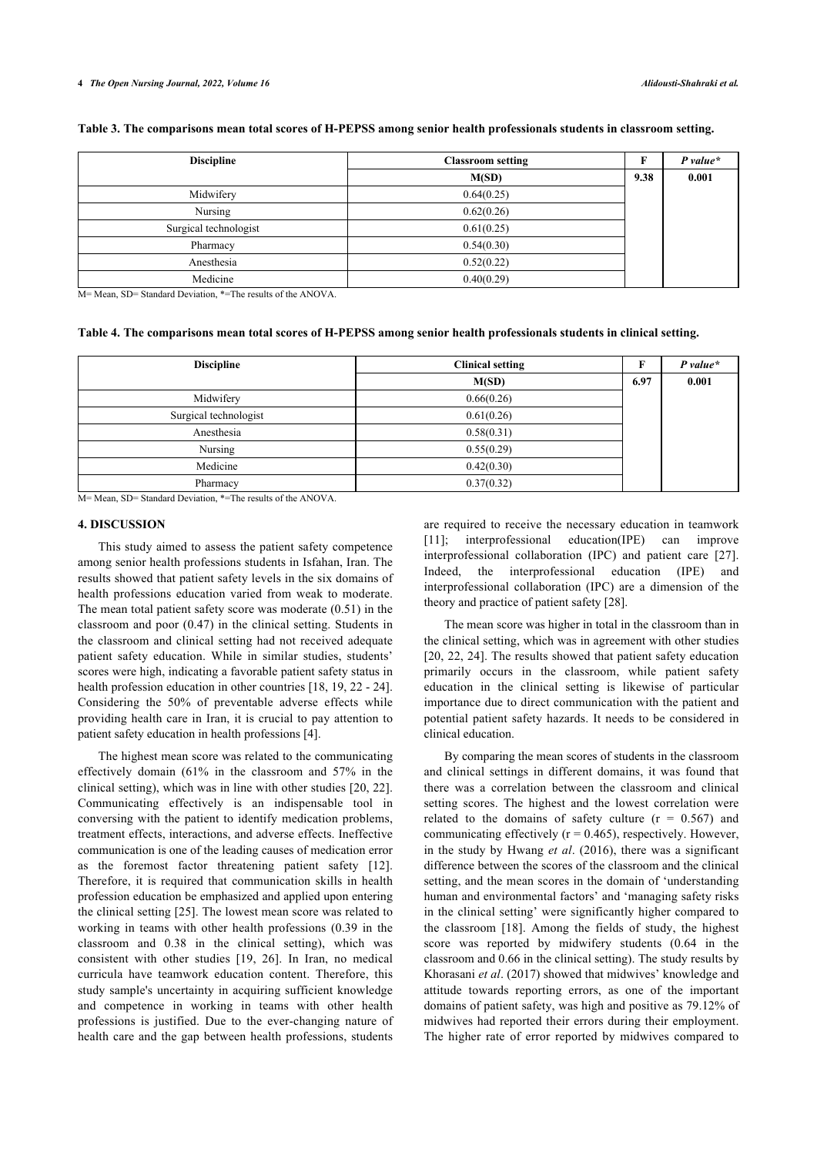|  | Table 3. The comparisons mean total scores of H-PEPSS among senior health professionals students in classroom setting. |  |  |
|--|------------------------------------------------------------------------------------------------------------------------|--|--|
|  |                                                                                                                        |  |  |

| <b>Discipline</b>     | <b>Classroom setting</b> |      | $P value*$ |  |
|-----------------------|--------------------------|------|------------|--|
|                       | M(SD)                    | 9.38 | 0.001      |  |
| Midwifery             | 0.64(0.25)               |      |            |  |
| Nursing               | 0.62(0.26)               |      |            |  |
| Surgical technologist | 0.61(0.25)               |      |            |  |
| Pharmacy              | 0.54(0.30)               |      |            |  |
| Anesthesia            | 0.52(0.22)               |      |            |  |
| Medicine              | 0.40(0.29)               |      |            |  |

M= Mean, SD= Standard Deviation, \*=The results of the ANOVA.

#### **Table 4. The comparisons mean total scores of H-PEPSS among senior health professionals students in clinical setting.**

| <b>Discipline</b>     | <b>Clinical setting</b> | F    | $P$ value* |
|-----------------------|-------------------------|------|------------|
|                       | M(SD)                   | 6.97 | 0.001      |
| Midwifery             | 0.66(0.26)              |      |            |
| Surgical technologist | 0.61(0.26)              |      |            |
| Anesthesia            | 0.58(0.31)              |      |            |
| Nursing               | 0.55(0.29)              |      |            |
| Medicine              | 0.42(0.30)              |      |            |
| Pharmacy              | 0.37(0.32)              |      |            |

M= Mean, SD= Standard Deviation, \*=The results of the ANOVA.

#### **4. DISCUSSION**

This study aimed to assess the patient safety competence among senior health professions students in Isfahan, Iran. The results showed that patient safety levels in the six domains of health professions education varied from weak to moderate. The mean total patient safety score was moderate (0.51) in the classroom and poor (0.47) in the clinical setting. Students in the classroom and clinical setting had not received adequate patient safety education. While in similar studies, students' scores were high, indicating a favorable patient safety status in health profession education in other countries [[18,](#page--1-0) [19, 22](#page--1-0) - [24](#page--1-0)]. Considering the 50% of preventable adverse effects while providing health care in Iran, it is crucial to pay attention to patient safety education in health professions [\[4\]](#page--1-0).

The highest mean score was related to the communicating effectively domain (61% in the classroom and 57% in the clinical setting), which was in line with other studies [[20,](#page--1-0) [22\]](#page--1-0). Communicating effectively is an indispensable tool in conversing with the patient to identify medication problems, treatment effects, interactions, and adverse effects. Ineffective communication is one of the leading causes of medication error as the foremost factor threatening patient safety[[12\]](#page--1-0). Therefore, it is required that communication skills in health profession education be emphasized and applied upon entering the clinical setting [\[25](#page--1-0)]. The lowest mean score was related to working in teams with other health professions (0.39 in the classroom and 0.38 in the clinical setting), which was consistent with other studies [\[19](#page--1-0), [26](#page--1-0)]. In Iran, no medical curricula have teamwork education content. Therefore, this study sample's uncertainty in acquiring sufficient knowledge and competence in working in teams with other health professions is justified. Due to the ever-changing nature of health care and the gap between health professions, students

are required to receive the necessary education in teamwork [[11](#page--1-0)]; interprofessional education(IPE) can improve interprofessional collaboration (IPC) and patient care[[27](#page--1-0)]. Indeed, the interprofessional education (IPE) and interprofessional collaboration (IPC) are a dimension of the theory and practice of patient safety [\[28](#page--1-0)].

The mean score was higher in total in the classroom than in the clinical setting, which was in agreement with other studies [[20](#page--1-0), [22,](#page--1-0) [24\]](#page--1-0). The results showed that patient safety education primarily occurs in the classroom, while patient safety education in the clinical setting is likewise of particular importance due to direct communication with the patient and potential patient safety hazards. It needs to be considered in clinical education.

By comparing the mean scores of students in the classroom and clinical settings in different domains, it was found that there was a correlation between the classroom and clinical setting scores. The highest and the lowest correlation were related to the domains of safety culture  $(r = 0.567)$  and communicating effectively  $(r = 0.465)$ , respectively. However, in the study by Hwang *et al*. (2016), there was a significant difference between the scores of the classroom and the clinical setting, and the mean scores in the domain of 'understanding human and environmental factors' and 'managing safety risks in the clinical setting' were significantly higher compared to the classroom[[18\]](#page--1-0). Among the fields of study, the highest score was reported by midwifery students (0.64 in the classroom and 0.66 in the clinical setting). The study results by Khorasani *et al*. (2017) showed that midwives' knowledge and attitude towards reporting errors, as one of the important domains of patient safety, was high and positive as 79.12% of midwives had reported their errors during their employment. The higher rate of error reported by midwives compared to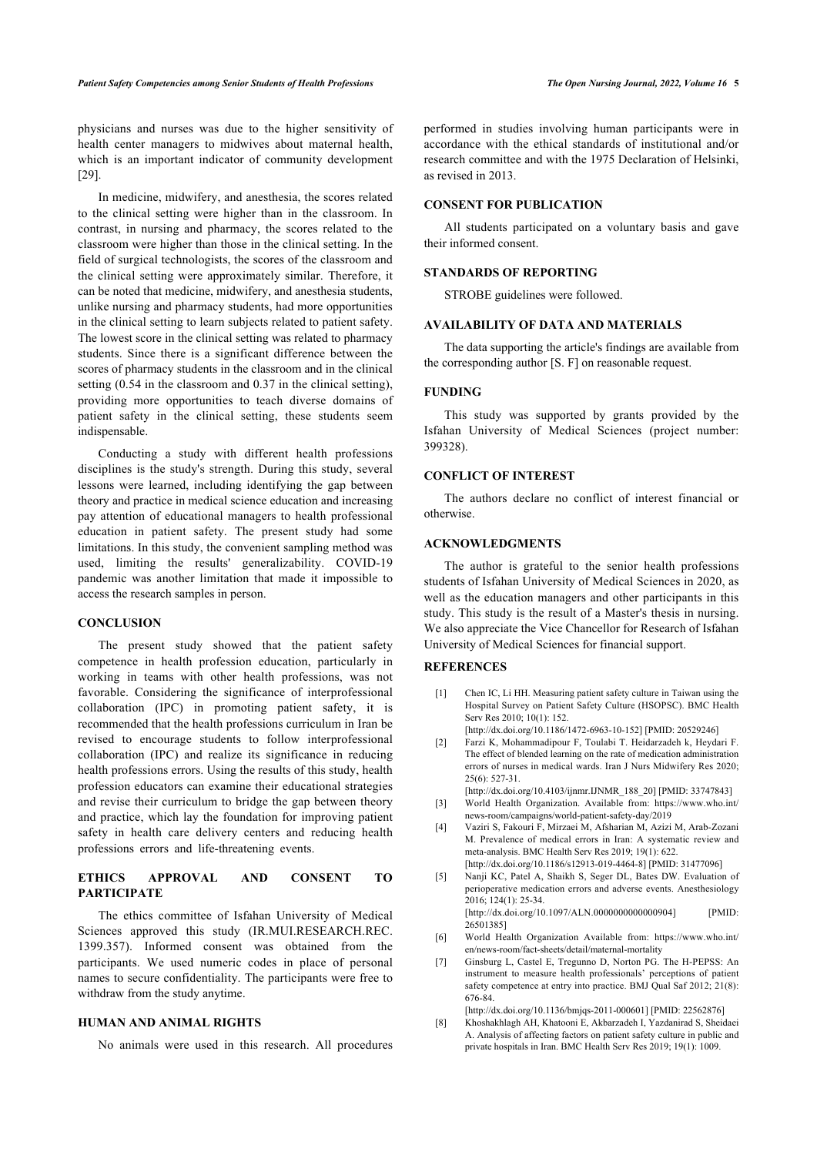physicians and nurses was due to the higher sensitivity of health center managers to midwives about maternal health, which is an important indicator of community development [[29\]](#page--1-0).

In medicine, midwifery, and anesthesia, the scores related to the clinical setting were higher than in the classroom. In contrast, in nursing and pharmacy, the scores related to the classroom were higher than those in the clinical setting. In the field of surgical technologists, the scores of the classroom and the clinical setting were approximately similar. Therefore, it can be noted that medicine, midwifery, and anesthesia students, unlike nursing and pharmacy students, had more opportunities in the clinical setting to learn subjects related to patient safety. The lowest score in the clinical setting was related to pharmacy students. Since there is a significant difference between the scores of pharmacy students in the classroom and in the clinical setting (0.54 in the classroom and 0.37 in the clinical setting), providing more opportunities to teach diverse domains of patient safety in the clinical setting, these students seem indispensable.

Conducting a study with different health professions disciplines is the study's strength. During this study, several lessons were learned, including identifying the gap between theory and practice in medical science education and increasing pay attention of educational managers to health professional education in patient safety. The present study had some limitations. In this study, the convenient sampling method was used, limiting the results' generalizability. COVID-19 pandemic was another limitation that made it impossible to access the research samples in person.

#### **CONCLUSION**

The present study showed that the patient safety competence in health profession education, particularly in working in teams with other health professions, was not favorable. Considering the significance of interprofessional collaboration (IPC) in promoting patient safety, it is recommended that the health professions curriculum in Iran be revised to encourage students to follow interprofessional collaboration (IPC) and realize its significance in reducing health professions errors. Using the results of this study, health profession educators can examine their educational strategies and revise their curriculum to bridge the gap between theory and practice, which lay the foundation for improving patient safety in health care delivery centers and reducing health professions errors and life-threatening events.

# **ETHICS APPROVAL AND CONSENT TO PARTICIPATE**

The ethics committee of Isfahan University of Medical Sciences approved this study (IR.MUI.RESEARCH.REC. 1399.357). Informed consent was obtained from the participants. We used numeric codes in place of personal names to secure confidentiality. The participants were free to withdraw from the study anytime.

#### **HUMAN AND ANIMAL RIGHTS**

No animals were used in this research. All procedures

performed in studies involving human participants were in accordance with the ethical standards of institutional and/or research committee and with the 1975 Declaration of Helsinki, as revised in 2013.

# **CONSENT FOR PUBLICATION**

All students participated on a voluntary basis and gave their informed consent.

### **STANDARDS OF REPORTING**

STROBE guidelines were followed.

# **AVAILABILITY OF DATA AND MATERIALS**

The data supporting the article's findings are available from the corresponding author [S. F] on reasonable request.

#### **FUNDING**

This study was supported by grants provided by the Isfahan University of Medical Sciences (project number: 399328).

### **CONFLICT OF INTEREST**

The authors declare no conflict of interest financial or otherwise.

#### **ACKNOWLEDGMENTS**

The author is grateful to the senior health professions students of Isfahan University of Medical Sciences in 2020, as well as the education managers and other participants in this study. This study is the result of a Master's thesis in nursing. We also appreciate the Vice Chancellor for Research of Isfahan University of Medical Sciences for financial support.

# **REFERENCES**

[1] Chen IC, Li HH. Measuring patient safety culture in Taiwan using the Hospital Survey on Patient Safety Culture (HSOPSC). BMC Health Serv Res 2010; 10(1): 152.

[\[http://dx.doi.org/10.1186/1472-6963-10-152\]](http://dx.doi.org/10.1186/1472-6963-10-152) [PMID: [20529246\]](http://www.ncbi.nlm.nih.gov/pubmed/20529246) [2] Farzi K, Mohammadipour F, Toulabi T. Heidarzadeh k, Heydari F. The effect of blended learning on the rate of medication administration

errors of nurses in medical wards. Iran J Nurs Midwifery Res 2020; 25(6): 527-31. [\[http://dx.doi.org/10.4103/ijnmr.IJNMR\\_188\\_20\]](http://dx.doi.org/10.4103/ijnmr.IJNMR_188_20) [PMID: [33747843](http://www.ncbi.nlm.nih.gov/pubmed/33747843)]

- [3] World Health Organization. Available from: [https://www.who.int/](https://www.who.int/news-room/campaigns/world-patient-safety-day/2019) [news-room/campaigns/world-patient-safety-day/2019](https://www.who.int/news-room/campaigns/world-patient-safety-day/2019)
- [4] Vaziri S, Fakouri F, Mirzaei M, Afsharian M, Azizi M, Arab-Zozani M. Prevalence of medical errors in Iran: A systematic review and meta-analysis. BMC Health Serv Res 2019; 19(1): 622. [\[http://dx.doi.org/10.1186/s12913-019-4464-8\]](http://dx.doi.org/10.1186/s12913-019-4464-8) [PMID: [31477096](http://www.ncbi.nlm.nih.gov/pubmed/31477096)]
- [5] Nanji KC, Patel A, Shaikh S, Seger DL, Bates DW. Evaluation of perioperative medication errors and adverse events. Anesthesiology 2016; 124(1): 25-34.

[\[http://dx.doi.org/10.1097/ALN.0000000000000904](http://dx.doi.org/10.1097/ALN.0000000000000904)] [PMID: [26501385\]](http://www.ncbi.nlm.nih.gov/pubmed/26501385)

- [6] World Health Organization Available from: [https://www.who.int/](https://www.who.int/en/news-room/fact-sheets/detail/maternal-mortality) [en/news-room/fact-sheets/detail/maternal-mortality](https://www.who.int/en/news-room/fact-sheets/detail/maternal-mortality)
- [7] Ginsburg L, Castel E, Tregunno D, Norton PG. The H-PEPSS: An instrument to measure health professionals' perceptions of patient safety competence at entry into practice. BMJ Qual Saf 2012; 21(8): 676-84.

[\[http://dx.doi.org/10.1136/bmjqs-2011-000601](http://dx.doi.org/10.1136/bmjqs-2011-000601)] [PMID: [22562876\]](http://www.ncbi.nlm.nih.gov/pubmed/22562876) [8] Khoshakhlagh AH, Khatooni E, Akbarzadeh I, Yazdanirad S, Sheidaei

A. Analysis of affecting factors on patient safety culture in public and private hospitals in Iran. BMC Health Serv Res 2019; 19(1): 1009.